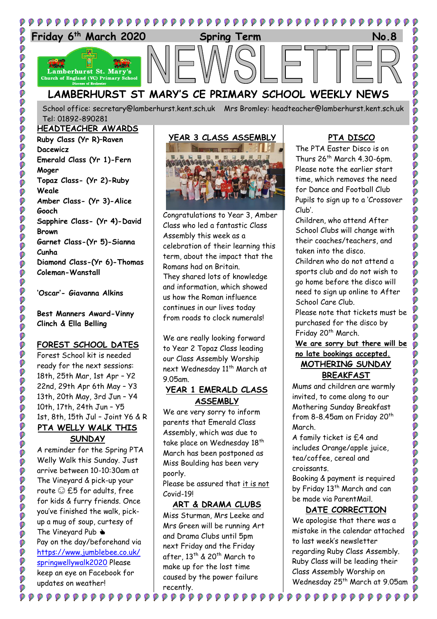

School office: [secretary@lamberhurst.kent.sch.uk](mailto:secretary@lamberhurst.kent.sch.uk) Mrs Bromley: headteacher@lamberhurst.kent.sch.uk Tel: 01892-890281

## **HEADTEACHER AWARDS**

ø

00000

**OCC** 

**P** .<br>Ø Ø

ø

Ø

Ø Ø Ø **0** .<br>V **P** 

O Ø

**O** 

ø  $\ddot{\bullet}$ 

Ø **P** Ø Ø

ø

Ø

Ø Ø Ø

**O** 

**DOO** 

Ø

**Ruby Class (Yr R)–Raven Dacewicz Emerald Class (Yr 1)-Fern Moger Topaz Class- (Yr 2)-Ruby Weale Amber Class- (Yr 3)-Alice Gooch Sapphire Class- (Yr 4)-David Brown Garnet Class-(Yr 5)-Sianna Cunha Diamond Class-(Yr 6)-Thomas Coleman-Wanstall**

**'Oscar'- Giavanna Alkins**

**Best Manners Award-Vinny Clinch & Ella Belling**

### **FOREST SCHOOL DATES**

Forest School kit is needed ready for the next sessions: 18th, 25th Mar, 1st Apr – Y2 22nd, 29th Apr 6th May – Y3 13th, 20th May, 3rd Jun – Y4 10th, 17th, 24th Jun – Y5 1st, 8th, 15th Jul – Joint Y6 & R **PTA WELLY WALK THIS** 

### **SUNDAY**

A reminder for the Spring PTA Welly Walk this Sunday. Just arrive between 10-10:30am at The Vineyard & pick-up your route  $\odot$  £5 for adults, free for kids & furry friends. Once you've finished the walk, pickup a mug of soup, curtesy of The Vineyard Pub  $\triangle$ Pay on the day/beforehand via [https://www.jumblebee.co.uk/](https://www.jumblebee.co.uk/springwellywalk2020) [springwellywalk2020](https://www.jumblebee.co.uk/springwellywalk2020) Please keep an eye on Facebook for updates on weather!

 $\begin{array}{c} \phi \end{array} \begin{array}{c} \phi \end{array} \begin{array}{c} \phi \end{array} \begin{array}{c} \phi \end{array} \begin{array}{c} \phi \end{array} \begin{array}{c} \phi \end{array} \begin{array}{c} \phi \end{array} \begin{array}{c} \phi \end{array} \begin{array}{c} \phi \end{array}$ 

Ø

Ø

# **YEAR 3 CLASS ASSEMBLY**

Congratulations to Year 3, Amber Class who led a fantastic Class Assembly this week as a celebration of their learning this term, about the impact that the Romans had on Britain. They shared lots of knowledge and information, which showed us how the Roman influence continues in our lives today from roads to clock numerals!

We are really looking forward to Year 2 Topaz Class leading our Class Assembly Worship next Wednesday 11<sup>th</sup> March at 9.05am.

### **YEAR 1 EMERALD CLASS ASSEMBLY**

We are very sorry to inform parents that Emerald Class Assembly, which was due to take place on Wednesday 18<sup>th</sup> March has been postponed as Miss Boulding has been very poorly.

Please be assured that it is not Covid-19!

### **ART & DRAMA CLUBS**

Miss Sturman, Mrs Leeke and Mrs Green will be running Art and Drama Clubs until 5pm next Friday and the Friday after, 13th & 20th March to make up for the lost time caused by the power failure recently.

### **PTA DISCO**

The PTA Easter Disco is on Thurs  $26^{th}$  March 4.30-6pm. Please note the earlier start time, which removes the need for Dance and Football Club Pupils to sign up to a 'Crossover Club'.

Children, who attend After School Clubs will change with their coaches/teachers, and taken into the disco.

Children who do not attend a sports club and do not wish to go home before the disco will need to sign up online to After School Care Club.

Please note that tickets must be purchased for the disco by Friday 20<sup>th</sup> March.

### **We are sorry but there will be no late bookings accepted. MOTHERING SUNDAY BREAKFAST**

Mums and children are warmly invited, to come along to our Mothering Sunday Breakfast from 8-8.45am on Friday 20<sup>th</sup> March.

A family ticket is £4 and includes Orange/apple juice, tea/coffee, cereal and croissants.

Booking & payment is required by Friday 13<sup>th</sup> March and can be made via ParentMail.

### **DATE CORRECTION**

We apologise that there was a mistake in the calendar attached to last week's newsletter regarding Ruby Class Assembly. Ruby Class will be leading their Class Assembly Worship on Wednesday 25<sup>th</sup> March at 9.05am

 $\begin{smallmatrix} \bullet\bullet\bullet\bullet\bullet\bullet\bullet\bullet\bullet\bullet\bullet\end{smallmatrix}$ 

Ø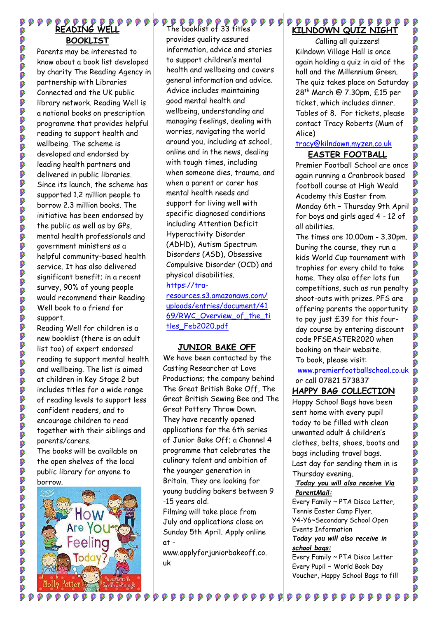# **READING WELL BOOKLIST**

Ø Ø

**POOOOO** 

000000

Ø .<br>Ø Ø

OCCO.

000

P

**OCOL** 

Ø **PPP** 

000

000000000000

io<br>O

Ø

000000000000

Ø

Parents may be interested to know about a book list developed by charity The Reading Agency in partnership with Libraries Connected and the UK public library network. Reading Well is a national books on prescription programme that provides helpful reading to support health and wellbeing. The scheme is developed and endorsed by leading health partners and delivered in public libraries. Since its launch, the scheme has supported 1.2 million people to borrow 2.3 million books. The initiative has been endorsed by the public as well as by GPs, mental health professionals and government ministers as a helpful community-based health service. It has also delivered significant benefit; in a recent survey, 90% of young people would recommend their Reading Well book to a friend for support.

Reading Well for children is a new booklist (there is an adult list too) of expert endorsed reading to support mental health and wellbeing. The list is aimed at children in Key Stage 2 but includes titles for a wide range of reading levels to support less confident readers, and to encourage children to read together with their siblings and parents/carers.

The books will be available on the open shelves of the local public library for anyone to borrow.



Ø

# **PPPPPPPPPP**<br>The booklist of 33 titles

provides quality assured information, advice and stories to support children's mental health and wellbeing and covers general information and advice. Advice includes maintaining good mental health and wellbeing, understanding and managing feelings, dealing with worries, navigating the world around you, including at school, online and in the news, dealing with tough times, including when someone dies, trauma, and when a parent or carer has mental health needs and support for living well with specific diagnosed conditions including Attention Deficit Hyperactivity Disorder (ADHD), Autism Spectrum Disorders (ASD), Obsessive Compulsive Disorder (OCD) and physical disabilities. [https://tra](https://tra-resources.s3.amazonaws.com/uploads/entries/document/4169/RWC_Overview_of_the_titles_Feb2020.pdf)[resources.s3.amazonaws.com/](https://tra-resources.s3.amazonaws.com/uploads/entries/document/4169/RWC_Overview_of_the_titles_Feb2020.pdf) [uploads/entries/document/41](https://tra-resources.s3.amazonaws.com/uploads/entries/document/4169/RWC_Overview_of_the_titles_Feb2020.pdf) 69/RWC Overview of the ti

### **JUNIOR BAKE OFF**

[tles\\_Feb2020.pdf](https://tra-resources.s3.amazonaws.com/uploads/entries/document/4169/RWC_Overview_of_the_titles_Feb2020.pdf)

We have been contacted by the Casting Researcher at Love Productions; the company behind The Great British Bake Off, The Great British Sewing Bee and The Great Pottery Throw Down. They have recently opened applications for the 6th series of Junior Bake Off; a Channel 4 programme that celebrates the culinary talent and ambition of the younger generation in Britain. They are looking for young budding bakers between 9 -15 years old.

Filming will take place from July and applications close on Sunday 5th April. Apply online at -

www.applyforjuniorbakeoff.co. uk

### ${\color{red}\blacktriangledown\mathit{p}}{\color{red}\blacktriangledown\mathit{p}}{\color{red}\mathit{p}}{\color{red}\mathit{p}}{\color{red}\mathit{p}}{\color{red}\mathit{p}}{\color{red}\mathit{p}}{\color{red}\mathit{p}}{\color{red}\mathit{p}}{\color{red}\mathit{p}}{\color{red}\mathit{p}}{\color{red}\mathit{p}}{\color{red}\mathit{p}}$ **KILNDOWN QUIZ NIGHT**

Calling all quizzers! Kilndown Village Hall is once again holding a quiz in aid of the hall and the Millennium Green. The quiz takes place on Saturday 28 th March @ 7.30pm, £15 per ticket, which includes dinner. Tables of 8. For tickets, please contact Tracy Roberts (Mum of Alice)

Ø

Ø

Ó OO

DOO

DO

Ø

00000000000

Ø

### [tracy@kilndown.myzen.co.uk](mailto:tracy@kilndown.myzen.co.uk) **EASTER FOOTBALL**

Premier Football School are once again running a Cranbrook based football course at High Weald Academy this Easter from Monday 6th – Thursday 9th April for boys and girls aged 4 - 12 of all abilities.

The times are 10.00am - 3.30pm. During the course, they run a kids World Cup tournament with trophies for every child to take home. They also offer lots fun competitions, such as run penalty shoot-outs with prizes. PFS are offering parents the opportunity  $\phi$ to pay just £39 for this fourday course by entering discount code PFSEASTER2020 when booking on their website. To book, please visit:

[www.premierfootballschool.co.uk](http://www.premierfootballschool.co.uk/) Ø or call 07821 573837

### **HAPPY BAG COLLECTION**

Happy School Bags have been sent home with every pupil today to be filled with clean unwanted adult & children's clothes, belts, shoes, boots and bags including travel bags. Last day for sending them in is Thursday evening.

*Today you will also receive Via ParentMail:*

Every Family ~ PTA Disco Letter, Tennis Easter Camp Flyer. Y4-Y6~Secondary School Open Events Information *Today you will also receive in school bags:*

Every Family ~ PTA Disco Letter Every Pupil ~ World Book Day Voucher, Happy School Bags to fill